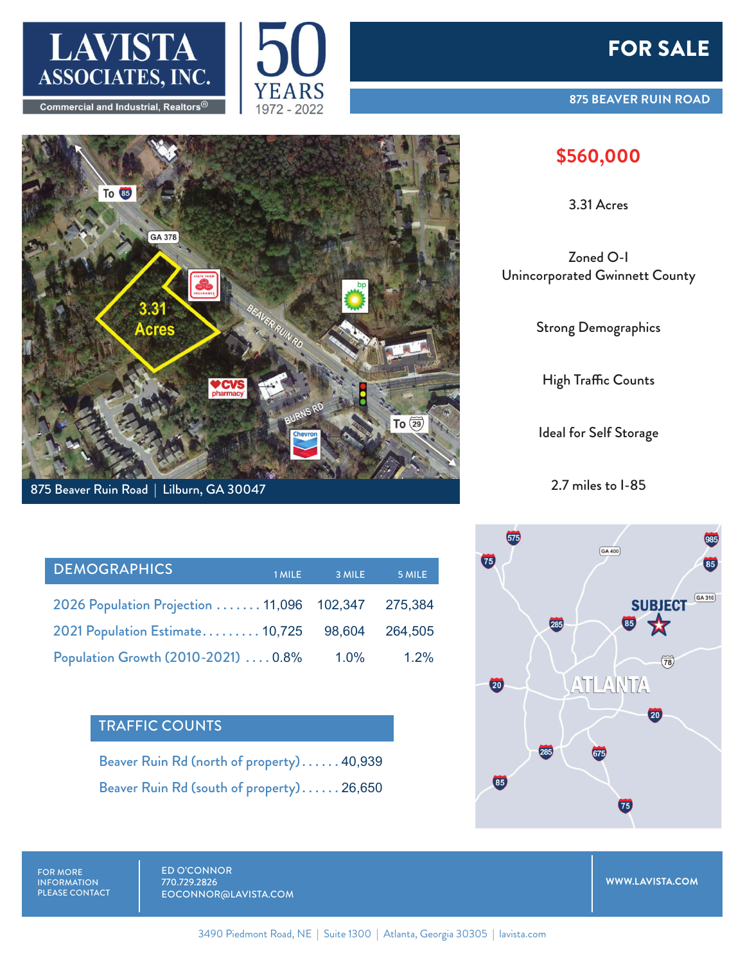





| <b>DEMOGRAPHICS</b>                       | 1 MILE | 3 MILE  | 5 MILE  |
|-------------------------------------------|--------|---------|---------|
| 2026 Population Projection 11,096 102,347 |        |         | 275,384 |
| 2021 Population Estimate 10,725 98,604    |        |         | 264.505 |
| Population Growth (2010-2021)  0.8%       |        | $1.0\%$ | $1.2\%$ |

## TRAFFIC COUNTS

Beaver Ruin Rd (north of property) . . . . . . 40,939 Beaver Ruin Rd (south of property) . . . . . . 26,650

## FOR SALE

## **875 BEAVER RUIN ROAD**

## **\$560,000**

3.31 Acres

Zoned O-I Unincorporated Gwinnett County

Strong Demographics

High Traffic Counts

Ideal for Self Storage

2.7 miles to I-85



FOR MORE INFORMATION PLEASE CONTACT ED O'CONNOR 770.729.2826 EOCONNOR@LAVISTA.COM

**WWW.LAVISTA.COM**